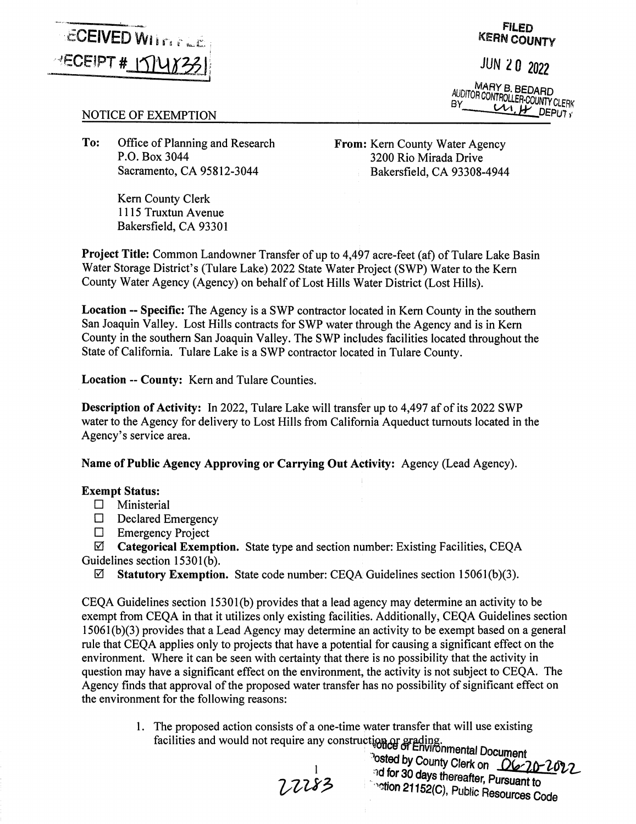

**FILED KERN COUNTY** 

JUN *l* O *<sup>2022</sup>*

**MARY B BEDARD BY** CUNTROLLER-COUNTY CLERK

## NOTICE OF EXEMPTION

**To:** Office of Planning and Research P.O. Box 3044 Sacramento, CA 95812-3044

> Kem County Clerk 1115 Truxtun Avenue Bakersfield, CA 93301

From: Kern County Water Agency 3200 Rio Mirada Drive Bakersfield, CA 93308-4944

**Project Title:** Common Landowner Transfer of up to 4,497 acre-feet (af) of Tulare Lake Basin Water Storage District's (Tulare Lake) 2022 State Water froject (SWP) Water to the Kem County Water Agency (Agency) on behalf of Lost Hills Water District (Lost Hills).

**Location** -- **Specific:** The Agency is a SWP contractor located in Kem County in the southern San Joaquin Valley. Lost Hills contracts for SWP water through the Agency and is in Kem County in the southern San Joaquin Valley. The SWP includes facilities located throughout the State of California. Tulare Lake is a SWP contractor located in Tulare County.

**Location** -- **County:** Kem and Tulare Counties.

**Description of Activity:** In 2022, Tulare Lake will transfer up to 4,497 af of its 2022 SWP water to the Agency for delivery to Lost Hills from California Aqueduct turnouts located in the Agency's service area.

**Name of Public Agency Approving or Carrying Out Activity:** Agency (Lead Agency).

## **Exempt Status:**

- $\Box$  Ministerial
- $\Box$  Declared Emergency
- $\Box$  Emergency Project

0 **Categorical Exemption.** State type and section number: Existing Facilities, CEQA Guidelines section 15301(b).

0 **Statutory Exemption.** State code number: CEQA Guidelines section 15061(b)(3).

CEQA Guidelines section 15301(b) provides that a lead agency may determine an activity to be exempt from CEQA in that it utilizes only existing facilities. Additionally, CEQA Guidelines section 15061(b)(3) provides that a Lead Agency may determine an activity to be exempt based on a general rule that CEQA applies only to projects that have a potential for causing a significant effect on the environment. Where it can be seen with certainty that there is no possibility that the activity in question may have a significant effect on the environment, the activity is not subject to CEQA. The Agency finds that approval of the proposed water transfer has no possibility of significant effect on the environment for the following reasons:

> 1. The proposed action consists of a one-time water transfer that will use existing facilities and would not require any construction or grading.

 $\frac{1}{2}$  of Environmental Document <sup>1</sup>osted by County Clerk on <u>06-70-2022</u><br>and for 30 days thereafter, Pursuant to<br>7.7.283<br>211526 . Public Resource **Fration 21152(C), Public Resources Code**